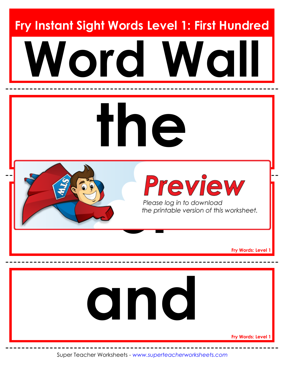**Fry Instant Sight Words Level 1: First Hundred**





**Fry Words: Level 1**



**Fry Words: Level 1**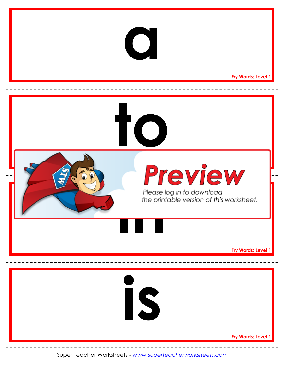

**Fry Words: Level 1**

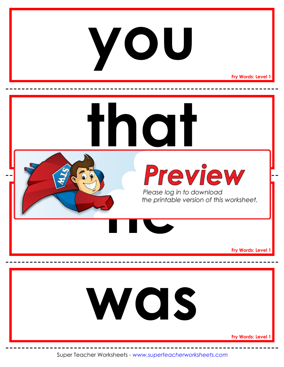#### **you**

**Fry Words: Level 1**

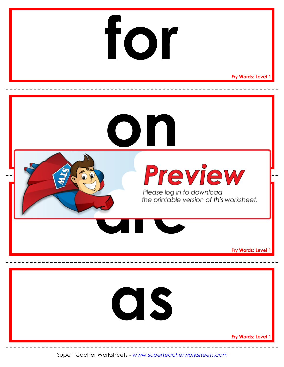

**Fry Words: Level 1**

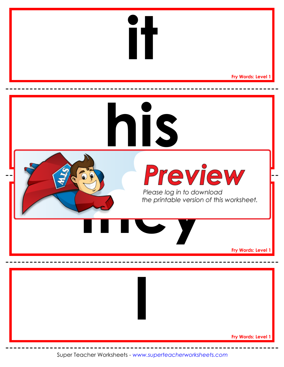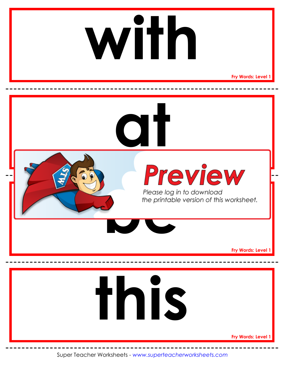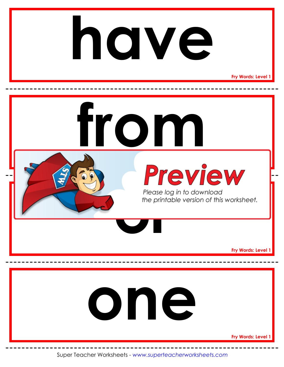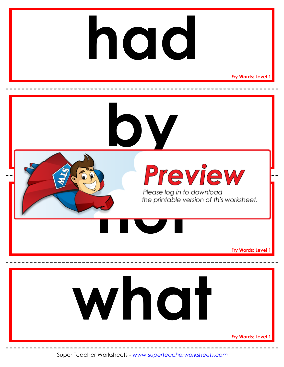### **had**

**Fry Words: Level 1**

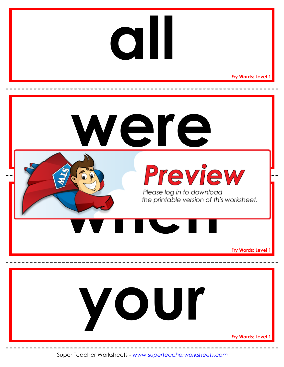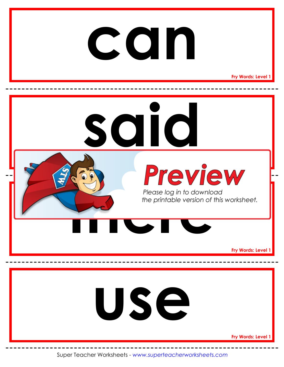#### **Fry Words: Level 1 Preview Fry Words: Level 1 Fry Words: Level 1 said can** Please log in to downloce<br>the printable version of the<br>**there** is the printable version of the printable version of the print **use**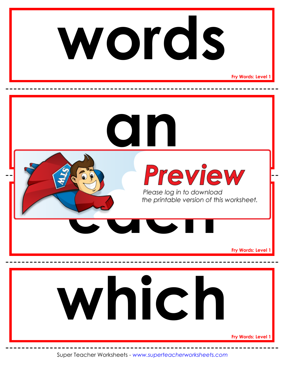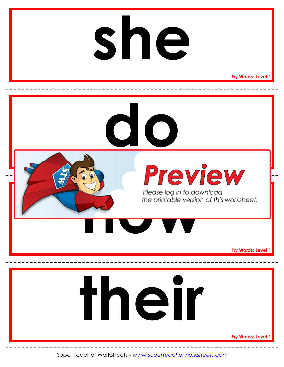#### **Fry Words: Level 1 Preview Fry Words: Level 1 Fry Words: Level 1 do she** Please log in to dow<br>the printable version **their**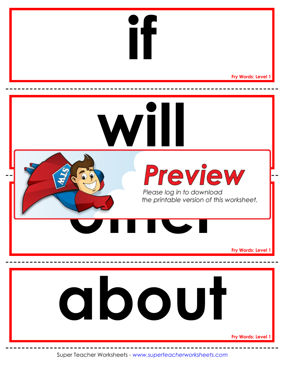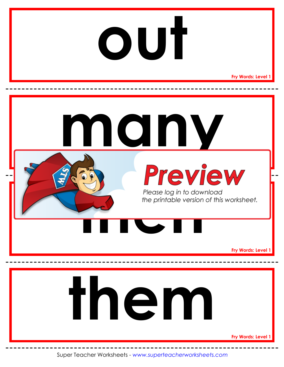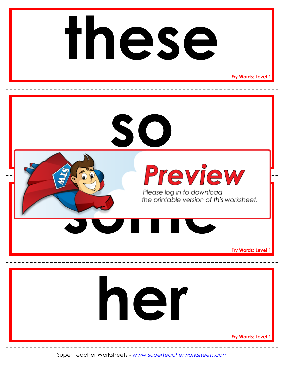# **these**

**Fry Words: Level 1**

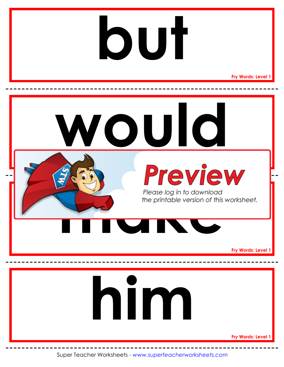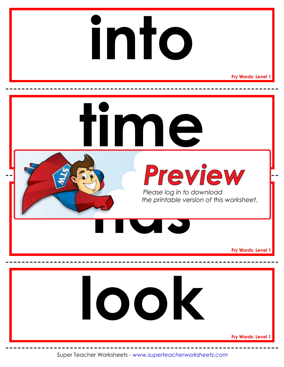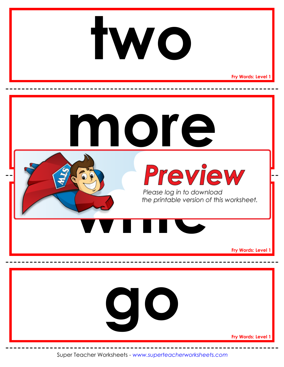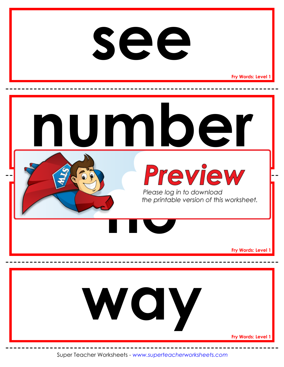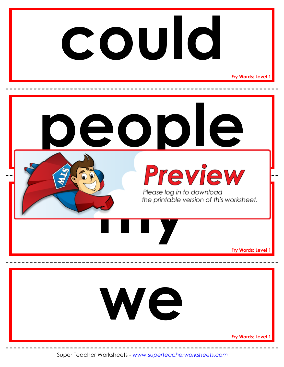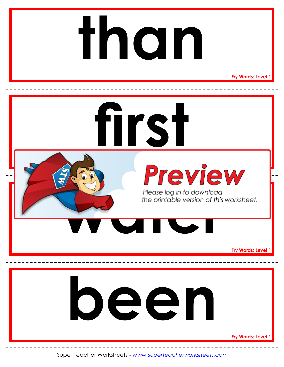## **than**

**Fry Words: Level 1**

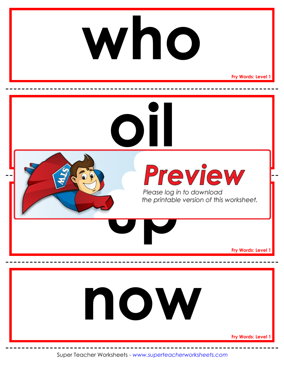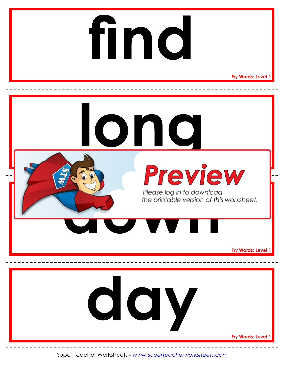# **find**

**Fry Words: Level 1**

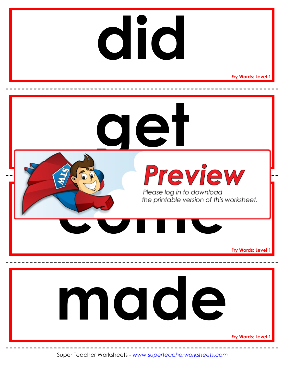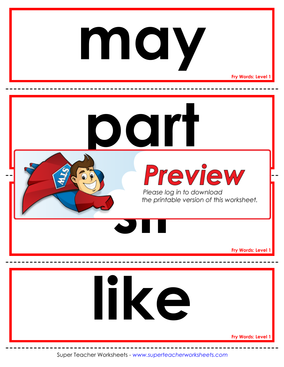### **may**

**Fry Words: Level 1**